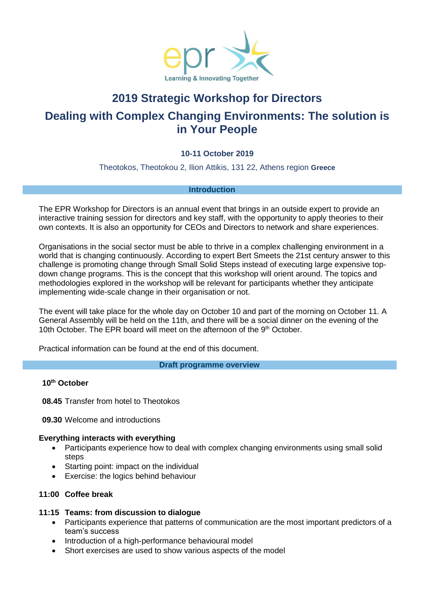

# **2019 Strategic Workshop for Directors Dealing with Complex Changing Environments: The solution is in Your People**

# **10-11 October 2019**

Theotokos, Theotokou 2, Ilion Attikis, 131 22, Athens region **Greece**

#### **Introduction**

The EPR Workshop for Directors is an annual event that brings in an outside expert to provide an interactive training session for directors and key staff, with the opportunity to apply theories to their own contexts. It is also an opportunity for CEOs and Directors to network and share experiences.

Organisations in the social sector must be able to thrive in a complex challenging environment in a world that is changing continuously. According to expert Bert Smeets the 21st century answer to this challenge is promoting change through Small Solid Steps instead of executing large expensive topdown change programs. This is the concept that this workshop will orient around. The topics and methodologies explored in the workshop will be relevant for participants whether they anticipate implementing wide-scale change in their organisation or not.

The event will take place for the whole day on October 10 and part of the morning on October 11. A General Assembly will be held on the 11th, and there will be a social dinner on the evening of the 10th October. The EPR board will meet on the afternoon of the 9<sup>th</sup> October.

Practical information can be found at the end of this document.

**Draft programme overview**

#### **10th October**

**08.45** Transfer from hotel to Theotokos

**09.30** Welcome and introductions

# **Everything interacts with everything**

- Participants experience how to deal with complex changing environments using small solid steps
- Starting point: impact on the individual
- **Exercise: the logics behind behaviour**

# **11:00 Coffee break**

# **11:15 Teams: from discussion to dialogue**

- Participants experience that patterns of communication are the most important predictors of a team's success
- Introduction of a high-performance behavioural model
- Short exercises are used to show various aspects of the model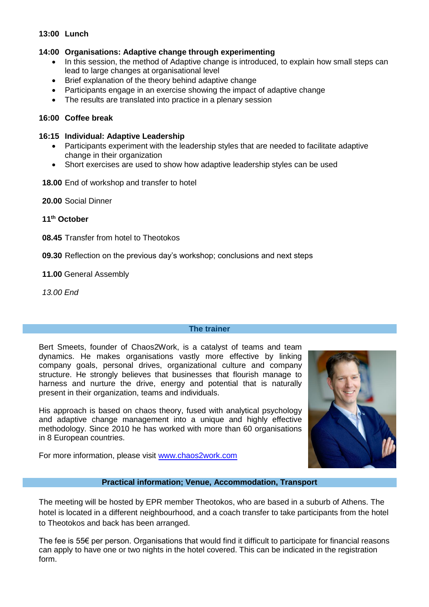# **13:00 Lunch**

# **14:00 Organisations: Adaptive change through experimenting**

- In this session, the method of Adaptive change is introduced, to explain how small steps can lead to large changes at organisational level
- Brief explanation of the theory behind adaptive change
- Participants engage in an exercise showing the impact of adaptive change
- The results are translated into practice in a plenary session

# **16:00 Coffee break**

# **16:15 Individual: Adaptive Leadership**

- Participants experiment with the leadership styles that are needed to facilitate adaptive change in their organization
- Short exercises are used to show how adaptive leadership styles can be used
- **18.00** End of workshop and transfer to hotel

**20.00** Social Dinner

**11th October**

**08.45** Transfer from hotel to Theotokos

**09.30** Reflection on the previous day's workshop; conclusions and next steps

# **11.00** General Assembly

*13.00 End*

#### **The trainer**

Bert Smeets, founder of Chaos2Work, is a catalyst of teams and team dynamics. He makes organisations vastly more effective by linking company goals, personal drives, organizational culture and company structure. He strongly believes that businesses that flourish manage to harness and nurture the drive, energy and potential that is naturally present in their organization, teams and individuals.

His approach is based on chaos theory, fused with analytical psychology and adaptive change management into a unique and highly effective methodology. Since 2010 he has worked with more than 60 organisations in 8 European countries.

For more information, please visit [www.chaos2work.com](http://www.chaos2work.com/)



# **Practical information; Venue, Accommodation, Transport**

The meeting will be hosted by EPR member Theotokos, who are based in a suburb of Athens. The hotel is located in a different neighbourhood, and a coach transfer to take participants from the hotel to Theotokos and back has been arranged.

The fee is 55€ per person. Organisations that would find it difficult to participate for financial reasons can apply to have one or two nights in the hotel covered. This can be indicated in the registration form.